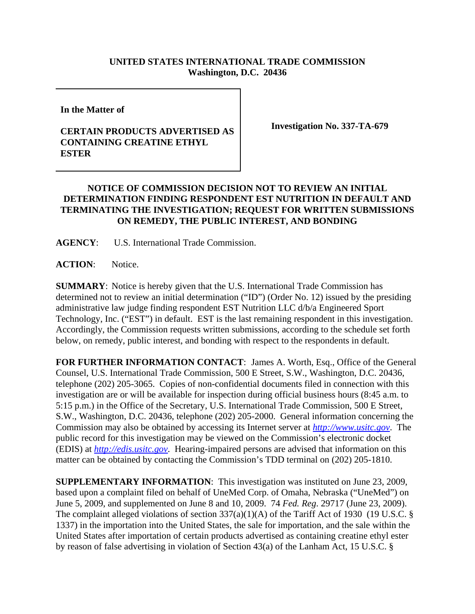## **UNITED STATES INTERNATIONAL TRADE COMMISSION Washington, D.C. 20436**

**In the Matter of** 

## **CERTAIN PRODUCTS ADVERTISED AS CONTAINING CREATINE ETHYL ESTER**

**Investigation No. 337-TA-679**

## **NOTICE OF COMMISSION DECISION NOT TO REVIEW AN INITIAL DETERMINATION FINDING RESPONDENT EST NUTRITION IN DEFAULT AND TERMINATING THE INVESTIGATION; REQUEST FOR WRITTEN SUBMISSIONS ON REMEDY, THE PUBLIC INTEREST, AND BONDING**

**AGENCY**: U.S. International Trade Commission.

**ACTION**: Notice.

**SUMMARY**: Notice is hereby given that the U.S. International Trade Commission has determined not to review an initial determination ("ID") (Order No. 12) issued by the presiding administrative law judge finding respondent EST Nutrition LLC d/b/a Engineered Sport Technology, Inc. ("EST") in default. EST is the last remaining respondent in this investigation. Accordingly, the Commission requests written submissions, according to the schedule set forth below, on remedy, public interest, and bonding with respect to the respondents in default.

**FOR FURTHER INFORMATION CONTACT**: James A. Worth, Esq., Office of the General Counsel, U.S. International Trade Commission, 500 E Street, S.W., Washington, D.C. 20436, telephone (202) 205-3065. Copies of non-confidential documents filed in connection with this investigation are or will be available for inspection during official business hours (8:45 a.m. to 5:15 p.m.) in the Office of the Secretary, U.S. International Trade Commission, 500 E Street, S.W., Washington, D.C. 20436, telephone (202) 205-2000. General information concerning the Commission may also be obtained by accessing its Internet server at *http://www.usitc.gov*. The public record for this investigation may be viewed on the Commission's electronic docket (EDIS) at *http://edis.usitc.gov*. Hearing-impaired persons are advised that information on this matter can be obtained by contacting the Commission's TDD terminal on (202) 205-1810.

**SUPPLEMENTARY INFORMATION**: This investigation was instituted on June 23, 2009, based upon a complaint filed on behalf of UneMed Corp. of Omaha, Nebraska ("UneMed") on June 5, 2009, and supplemented on June 8 and 10, 2009. 74 *Fed. Reg*. 29717 (June 23, 2009). The complaint alleged violations of section 337(a)(1)(A) of the Tariff Act of 1930 (19 U.S.C. § 1337) in the importation into the United States, the sale for importation, and the sale within the United States after importation of certain products advertised as containing creatine ethyl ester by reason of false advertising in violation of Section 43(a) of the Lanham Act, 15 U.S.C. §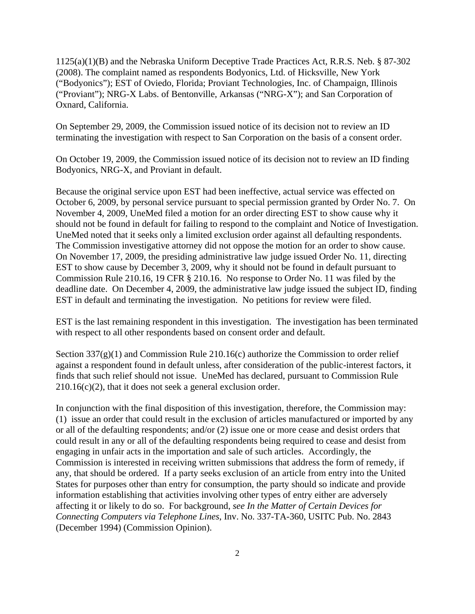1125(a)(1)(B) and the Nebraska Uniform Deceptive Trade Practices Act, R.R.S. Neb. § 87-302 (2008). The complaint named as respondents Bodyonics, Ltd. of Hicksville, New York ("Bodyonics"); EST of Oviedo, Florida; Proviant Technologies, Inc. of Champaign, Illinois ("Proviant"); NRG-X Labs. of Bentonville, Arkansas ("NRG-X"); and San Corporation of Oxnard, California.

On September 29, 2009, the Commission issued notice of its decision not to review an ID terminating the investigation with respect to San Corporation on the basis of a consent order.

On October 19, 2009, the Commission issued notice of its decision not to review an ID finding Bodyonics, NRG-X, and Proviant in default.

Because the original service upon EST had been ineffective, actual service was effected on October 6, 2009, by personal service pursuant to special permission granted by Order No. 7. On November 4, 2009, UneMed filed a motion for an order directing EST to show cause why it should not be found in default for failing to respond to the complaint and Notice of Investigation. UneMed noted that it seeks only a limited exclusion order against all defaulting respondents. The Commission investigative attorney did not oppose the motion for an order to show cause. On November 17, 2009, the presiding administrative law judge issued Order No. 11, directing EST to show cause by December 3, 2009, why it should not be found in default pursuant to Commission Rule 210.16, 19 CFR § 210.16. No response to Order No. 11 was filed by the deadline date. On December 4, 2009, the administrative law judge issued the subject ID, finding EST in default and terminating the investigation. No petitions for review were filed.

EST is the last remaining respondent in this investigation. The investigation has been terminated with respect to all other respondents based on consent order and default.

Section  $337(g)(1)$  and Commission Rule 210.16(c) authorize the Commission to order relief against a respondent found in default unless, after consideration of the public-interest factors, it finds that such relief should not issue. UneMed has declared, pursuant to Commission Rule  $210.16(c)(2)$ , that it does not seek a general exclusion order.

In conjunction with the final disposition of this investigation, therefore, the Commission may: (1) issue an order that could result in the exclusion of articles manufactured or imported by any or all of the defaulting respondents; and/or (2) issue one or more cease and desist orders that could result in any or all of the defaulting respondents being required to cease and desist from engaging in unfair acts in the importation and sale of such articles. Accordingly, the Commission is interested in receiving written submissions that address the form of remedy, if any, that should be ordered. If a party seeks exclusion of an article from entry into the United States for purposes other than entry for consumption, the party should so indicate and provide information establishing that activities involving other types of entry either are adversely affecting it or likely to do so. For background, *see In the Matter of Certain Devices for Connecting Computers via Telephone Lines*, Inv. No. 337-TA-360, USITC Pub. No. 2843 (December 1994) (Commission Opinion).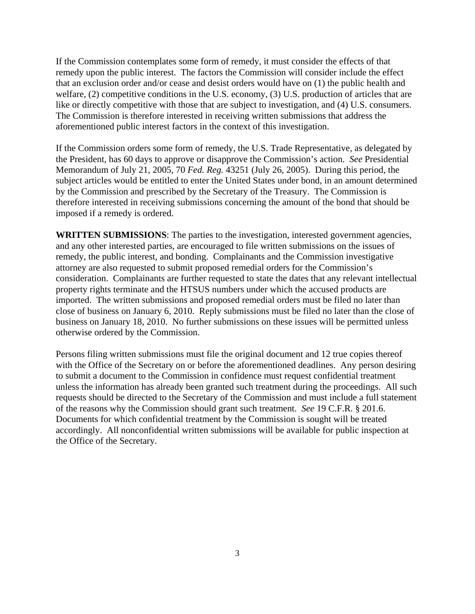If the Commission contemplates some form of remedy, it must consider the effects of that remedy upon the public interest. The factors the Commission will consider include the effect that an exclusion order and/or cease and desist orders would have on (1) the public health and welfare, (2) competitive conditions in the U.S. economy, (3) U.S. production of articles that are like or directly competitive with those that are subject to investigation, and (4) U.S. consumers. The Commission is therefore interested in receiving written submissions that address the aforementioned public interest factors in the context of this investigation.

If the Commission orders some form of remedy, the U.S. Trade Representative, as delegated by the President, has 60 days to approve or disapprove the Commission's action. *See* Presidential Memorandum of July 21, 2005, 70 *Fed. Reg.* 43251 (July 26, 2005). During this period, the subject articles would be entitled to enter the United States under bond, in an amount determined by the Commission and prescribed by the Secretary of the Treasury. The Commission is therefore interested in receiving submissions concerning the amount of the bond that should be imposed if a remedy is ordered.

**WRITTEN SUBMISSIONS**: The parties to the investigation, interested government agencies, and any other interested parties, are encouraged to file written submissions on the issues of remedy, the public interest, and bonding. Complainants and the Commission investigative attorney are also requested to submit proposed remedial orders for the Commission's consideration. Complainants are further requested to state the dates that any relevant intellectual property rights terminate and the HTSUS numbers under which the accused products are imported. The written submissions and proposed remedial orders must be filed no later than close of business on January 6, 2010. Reply submissions must be filed no later than the close of business on January 18, 2010. No further submissions on these issues will be permitted unless otherwise ordered by the Commission.

Persons filing written submissions must file the original document and 12 true copies thereof with the Office of the Secretary on or before the aforementioned deadlines. Any person desiring to submit a document to the Commission in confidence must request confidential treatment unless the information has already been granted such treatment during the proceedings. All such requests should be directed to the Secretary of the Commission and must include a full statement of the reasons why the Commission should grant such treatment. *See* 19 C.F.R. § 201.6. Documents for which confidential treatment by the Commission is sought will be treated accordingly. All nonconfidential written submissions will be available for public inspection at the Office of the Secretary.